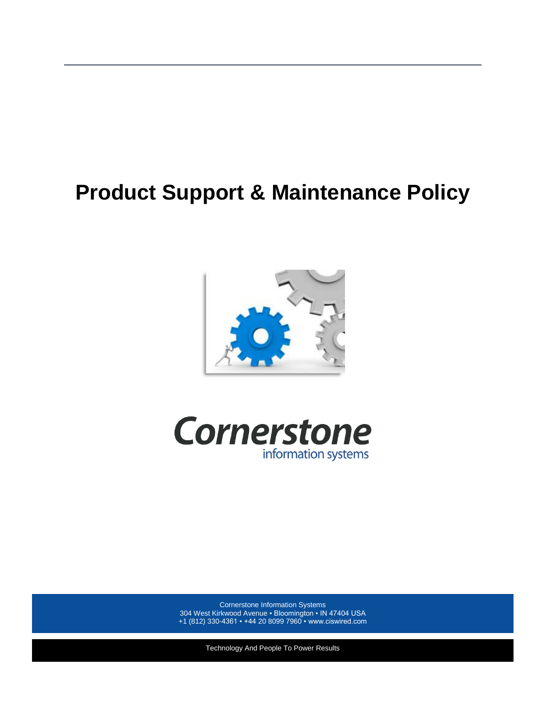# **Product Support & Maintenance Policy**





Cornerstone Information Systems 304 West Kirkwood Avenue ▪ Bloomington ▪ IN 47404 USA +1 (812) 330-4361 ▪ +44 20 8099 7960 ▪ www.ciswired.com

Technology And People To Power Results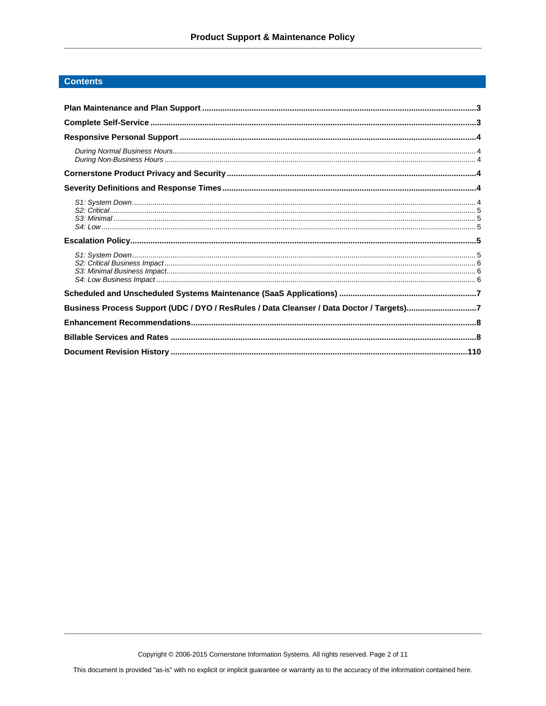# **Contents**

| Business Process Support (UDC / DYO / ResRules / Data Cleanser / Data Doctor / Targets)7 |  |
|------------------------------------------------------------------------------------------|--|
|                                                                                          |  |
|                                                                                          |  |
|                                                                                          |  |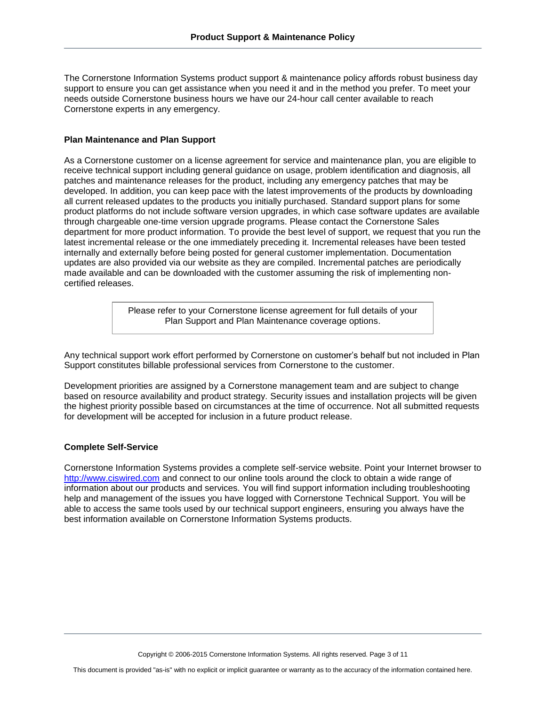The Cornerstone Information Systems product support & maintenance policy affords robust business day support to ensure you can get assistance when you need it and in the method you prefer. To meet your needs outside Cornerstone business hours we have our 24-hour call center available to reach Cornerstone experts in any emergency.

# <span id="page-2-0"></span>**Plan Maintenance and Plan Support**

As a Cornerstone customer on a license agreement for service and maintenance plan, you are eligible to receive technical support including general guidance on usage, problem identification and diagnosis, all patches and maintenance releases for the product, including any emergency patches that may be developed. In addition, you can keep pace with the latest improvements of the products by downloading all current released updates to the products you initially purchased. Standard support plans for some product platforms do not include software version upgrades, in which case software updates are available through chargeable one-time version upgrade programs. Please contact the Cornerstone Sales department for more product information. To provide the best level of support, we request that you run the latest incremental release or the one immediately preceding it. Incremental releases have been tested internally and externally before being posted for general customer implementation. Documentation updates are also provided via our website as they are compiled. Incremental patches are periodically made available and can be downloaded with the customer assuming the risk of implementing noncertified releases.

> Please refer to your Cornerstone license agreement for full details of your Plan Support and Plan Maintenance coverage options.

Any technical support work effort performed by Cornerstone on customer's behalf but not included in Plan Support constitutes billable professional services from Cornerstone to the customer.

Development priorities are assigned by a Cornerstone management team and are subject to change based on resource availability and product strategy. Security issues and installation projects will be given the highest priority possible based on circumstances at the time of occurrence. Not all submitted requests for development will be accepted for inclusion in a future product release.

# <span id="page-2-1"></span>**Complete Self-Service**

Cornerstone Information Systems provides a complete self-service website. Point your Internet browser to [http://www.ciswired.com](http://www.ciswired.com/) and connect to our online tools around the clock to obtain a wide range of information about our products and services. You will find support information including troubleshooting help and management of the issues you have logged with Cornerstone Technical Support. You will be able to access the same tools used by our technical support engineers, ensuring you always have the best information available on Cornerstone Information Systems products.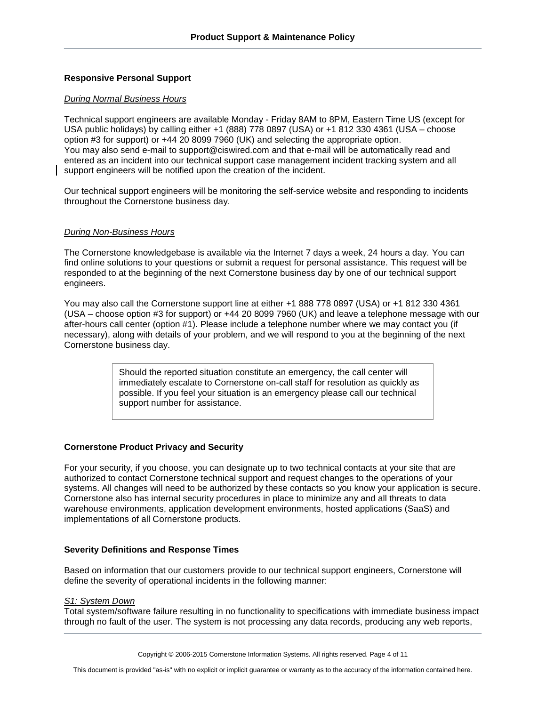# <span id="page-3-0"></span>**Responsive Personal Support**

# <span id="page-3-1"></span>*During Normal Business Hours*

Technical support engineers are available Monday - Friday 8AM to 8PM, Eastern Time US (except for USA public holidays) by calling either +1 (888) 778 0897 (USA) or +1 812 330 4361 (USA – choose option #3 for support) or +44 20 8099 7960 (UK) and selecting the appropriate option. You may also send e-mail to support@ciswired.com and that e-mail will be automatically read and entered as an incident into our technical support case management incident tracking system and all support engineers will be notified upon the creation of the incident.

Our technical support engineers will be monitoring the self-service website and responding to incidents throughout the Cornerstone business day.

#### <span id="page-3-2"></span>*During Non-Business Hours*

The Cornerstone knowledgebase is available via the Internet 7 days a week, 24 hours a day. You can find online solutions to your questions or submit a request for personal assistance. This request will be responded to at the beginning of the next Cornerstone business day by one of our technical support engineers.

You may also call the Cornerstone support line at either +1 888 778 0897 (USA) or +1 812 330 4361 (USA – choose option #3 for support) or +44 20 8099 7960 (UK) and leave a telephone message with our after-hours call center (option #1). Please include a telephone number where we may contact you (if necessary), along with details of your problem, and we will respond to you at the beginning of the next Cornerstone business day.

> Should the reported situation constitute an emergency, the call center will immediately escalate to Cornerstone on-call staff for resolution as quickly as possible. If you feel your situation is an emergency please call our technical support number for assistance.

# <span id="page-3-3"></span>**Cornerstone Product Privacy and Security**

For your security, if you choose, you can designate up to two technical contacts at your site that are authorized to contact Cornerstone technical support and request changes to the operations of your systems. All changes will need to be authorized by these contacts so you know your application is secure. Cornerstone also has internal security procedures in place to minimize any and all threats to data warehouse environments, application development environments, hosted applications (SaaS) and implementations of all Cornerstone products.

# <span id="page-3-4"></span>**Severity Definitions and Response Times**

Based on information that our customers provide to our technical support engineers, Cornerstone will define the severity of operational incidents in the following manner:

#### <span id="page-3-5"></span>*S1: System Down*

Total system/software failure resulting in no functionality to specifications with immediate business impact through no fault of the user. The system is not processing any data records, producing any web reports,

Copyright © 2006-2015 Cornerstone Information Systems. All rights reserved. Page 4 of 11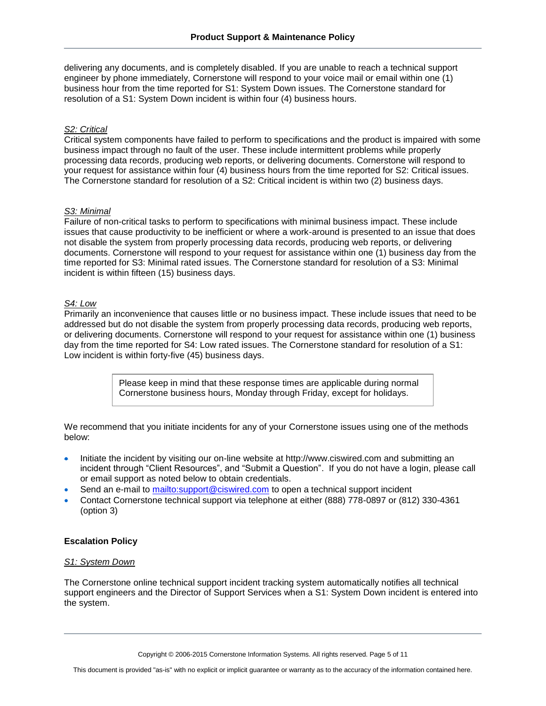delivering any documents, and is completely disabled. If you are unable to reach a technical support engineer by phone immediately, Cornerstone will respond to your voice mail or email within one (1) business hour from the time reported for S1: System Down issues. The Cornerstone standard for resolution of a S1: System Down incident is within four (4) business hours.

#### <span id="page-4-0"></span>*S2: Critical*

Critical system components have failed to perform to specifications and the product is impaired with some business impact through no fault of the user. These include intermittent problems while properly processing data records, producing web reports, or delivering documents. Cornerstone will respond to your request for assistance within four (4) business hours from the time reported for S2: Critical issues. The Cornerstone standard for resolution of a S2: Critical incident is within two (2) business days.

#### <span id="page-4-1"></span>*S3: Minimal*

Failure of non-critical tasks to perform to specifications with minimal business impact. These include issues that cause productivity to be inefficient or where a work-around is presented to an issue that does not disable the system from properly processing data records, producing web reports, or delivering documents. Cornerstone will respond to your request for assistance within one (1) business day from the time reported for S3: Minimal rated issues. The Cornerstone standard for resolution of a S3: Minimal incident is within fifteen (15) business days.

#### <span id="page-4-2"></span>*S4: Low*

Primarily an inconvenience that causes little or no business impact. These include issues that need to be addressed but do not disable the system from properly processing data records, producing web reports, or delivering documents. Cornerstone will respond to your request for assistance within one (1) business day from the time reported for S4: Low rated issues. The Cornerstone standard for resolution of a S1: Low incident is within forty-five (45) business days.

> Please keep in mind that these response times are applicable during normal Cornerstone business hours, Monday through Friday, except for holidays.

We recommend that you initiate incidents for any of your Cornerstone issues using one of the methods below:

- Initiate the incident by visiting our on-line website at http://www.ciswired.com and submitting an incident through "Client Resources", and "Submit a Question". If you do not have a login, please call or email support as noted below to obtain credentials.
- Send an e-mail to<mailto:support@ciswired.com> to open a technical support incident
- Contact Cornerstone technical support via telephone at either (888) 778-0897 or (812) 330-4361 (option 3)

# <span id="page-4-3"></span>**Escalation Policy**

#### <span id="page-4-4"></span>*S1: System Down*

The Cornerstone online technical support incident tracking system automatically notifies all technical support engineers and the Director of Support Services when a S1: System Down incident is entered into the system.

Copyright © 2006-2015 Cornerstone Information Systems. All rights reserved. Page 5 of 11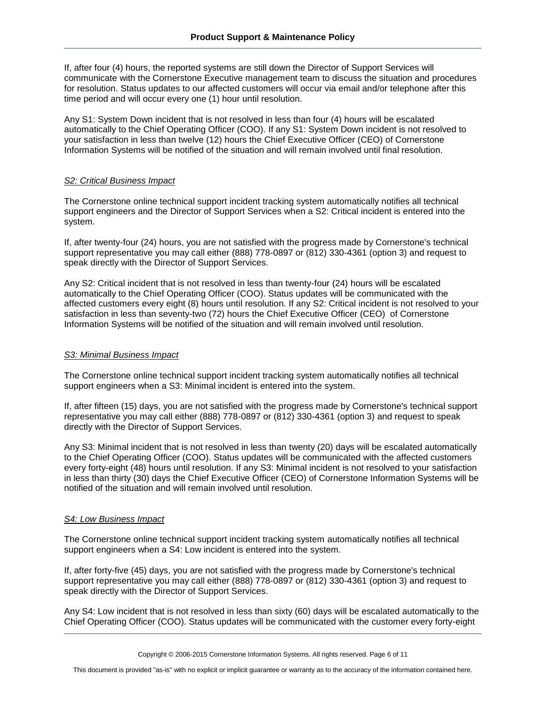If, after four (4) hours, the reported systems are still down the Director of Support Services will communicate with the Cornerstone Executive management team to discuss the situation and procedures for resolution. Status updates to our affected customers will occur via email and/or telephone after this time period and will occur every one (1) hour until resolution.

Any S1: System Down incident that is not resolved in less than four (4) hours will be escalated automatically to the Chief Operating Officer (COO). If any S1: System Down incident is not resolved to your satisfaction in less than twelve (12) hours the Chief Executive Officer (CEO) of Cornerstone Information Systems will be notified of the situation and will remain involved until final resolution.

# <span id="page-5-0"></span>*S2: Critical Business Impact*

The Cornerstone online technical support incident tracking system automatically notifies all technical support engineers and the Director of Support Services when a S2: Critical incident is entered into the system.

If, after twenty-four (24) hours, you are not satisfied with the progress made by Cornerstone's technical support representative you may call either (888) 778-0897 or (812) 330-4361 (option 3) and request to speak directly with the Director of Support Services.

Any S2: Critical incident that is not resolved in less than twenty-four (24) hours will be escalated automatically to the Chief Operating Officer (COO). Status updates will be communicated with the affected customers every eight (8) hours until resolution. If any S2: Critical incident is not resolved to your satisfaction in less than seventy-two (72) hours the Chief Executive Officer (CEO) of Cornerstone Information Systems will be notified of the situation and will remain involved until resolution.

# <span id="page-5-1"></span>*S3: Minimal Business Impact*

The Cornerstone online technical support incident tracking system automatically notifies all technical support engineers when a S3: Minimal incident is entered into the system.

If, after fifteen (15) days, you are not satisfied with the progress made by Cornerstone's technical support representative you may call either (888) 778-0897 or (812) 330-4361 (option 3) and request to speak directly with the Director of Support Services.

Any S3: Minimal incident that is not resolved in less than twenty (20) days will be escalated automatically to the Chief Operating Officer (COO). Status updates will be communicated with the affected customers every forty-eight (48) hours until resolution. If any S3: Minimal incident is not resolved to your satisfaction in less than thirty (30) days the Chief Executive Officer (CEO) of Cornerstone Information Systems will be notified of the situation and will remain involved until resolution.

# <span id="page-5-2"></span>*S4: Low Business Impact*

The Cornerstone online technical support incident tracking system automatically notifies all technical support engineers when a S4: Low incident is entered into the system.

If, after forty-five (45) days, you are not satisfied with the progress made by Cornerstone's technical support representative you may call either (888) 778-0897 or (812) 330-4361 (option 3) and request to speak directly with the Director of Support Services.

Any S4: Low incident that is not resolved in less than sixty (60) days will be escalated automatically to the Chief Operating Officer (COO). Status updates will be communicated with the customer every forty-eight

This document is provided "as-is" with no explicit or implicit guarantee or warranty as to the accuracy of the information contained here.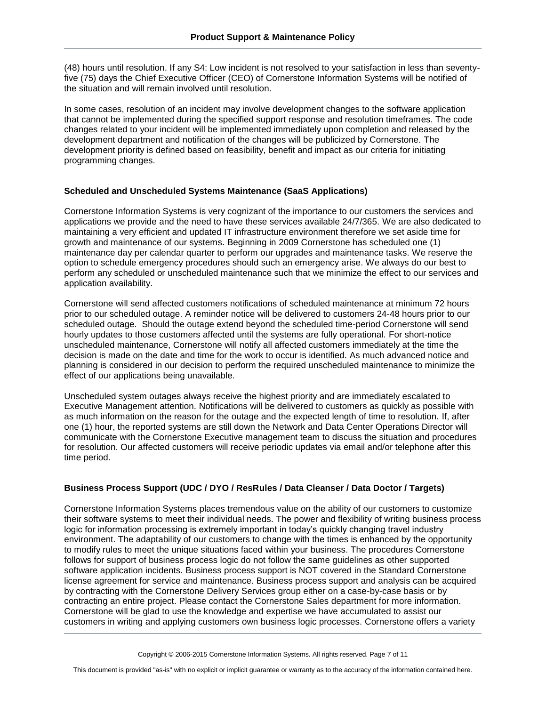(48) hours until resolution. If any S4: Low incident is not resolved to your satisfaction in less than seventyfive (75) days the Chief Executive Officer (CEO) of Cornerstone Information Systems will be notified of the situation and will remain involved until resolution.

In some cases, resolution of an incident may involve development changes to the software application that cannot be implemented during the specified support response and resolution timeframes. The code changes related to your incident will be implemented immediately upon completion and released by the development department and notification of the changes will be publicized by Cornerstone. The development priority is defined based on feasibility, benefit and impact as our criteria for initiating programming changes.

# <span id="page-6-0"></span>**Scheduled and Unscheduled Systems Maintenance (SaaS Applications)**

Cornerstone Information Systems is very cognizant of the importance to our customers the services and applications we provide and the need to have these services available 24/7/365. We are also dedicated to maintaining a very efficient and updated IT infrastructure environment therefore we set aside time for growth and maintenance of our systems. Beginning in 2009 Cornerstone has scheduled one (1) maintenance day per calendar quarter to perform our upgrades and maintenance tasks. We reserve the option to schedule emergency procedures should such an emergency arise. We always do our best to perform any scheduled or unscheduled maintenance such that we minimize the effect to our services and application availability.

Cornerstone will send affected customers notifications of scheduled maintenance at minimum 72 hours prior to our scheduled outage. A reminder notice will be delivered to customers 24-48 hours prior to our scheduled outage. Should the outage extend beyond the scheduled time-period Cornerstone will send hourly updates to those customers affected until the systems are fully operational. For short-notice unscheduled maintenance, Cornerstone will notify all affected customers immediately at the time the decision is made on the date and time for the work to occur is identified. As much advanced notice and planning is considered in our decision to perform the required unscheduled maintenance to minimize the effect of our applications being unavailable.

Unscheduled system outages always receive the highest priority and are immediately escalated to Executive Management attention. Notifications will be delivered to customers as quickly as possible with as much information on the reason for the outage and the expected length of time to resolution. If, after one (1) hour, the reported systems are still down the Network and Data Center Operations Director will communicate with the Cornerstone Executive management team to discuss the situation and procedures for resolution. Our affected customers will receive periodic updates via email and/or telephone after this time period.

# <span id="page-6-1"></span>**Business Process Support (UDC / DYO / ResRules / Data Cleanser / Data Doctor / Targets)**

Cornerstone Information Systems places tremendous value on the ability of our customers to customize their software systems to meet their individual needs. The power and flexibility of writing business process logic for information processing is extremely important in today's quickly changing travel industry environment. The adaptability of our customers to change with the times is enhanced by the opportunity to modify rules to meet the unique situations faced within your business. The procedures Cornerstone follows for support of business process logic do not follow the same guidelines as other supported software application incidents. Business process support is NOT covered in the Standard Cornerstone license agreement for service and maintenance. Business process support and analysis can be acquired by contracting with the Cornerstone Delivery Services group either on a case-by-case basis or by contracting an entire project. Please contact the Cornerstone Sales department for more information. Cornerstone will be glad to use the knowledge and expertise we have accumulated to assist our customers in writing and applying customers own business logic processes. Cornerstone offers a variety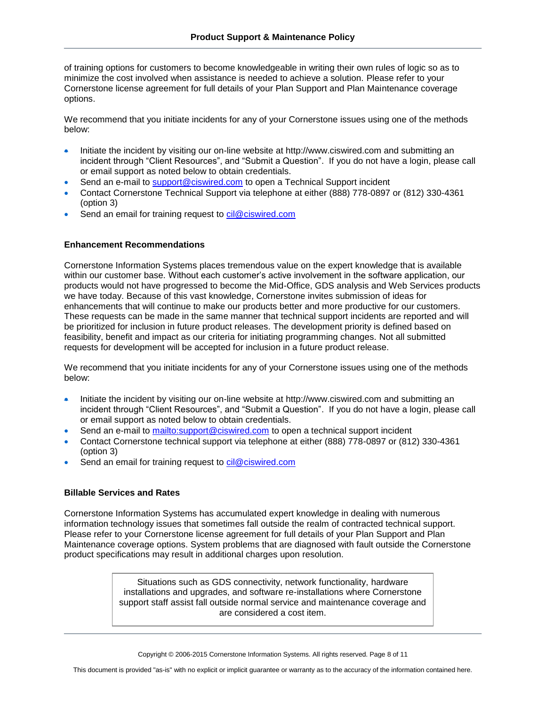of training options for customers to become knowledgeable in writing their own rules of logic so as to minimize the cost involved when assistance is needed to achieve a solution. Please refer to your Cornerstone license agreement for full details of your Plan Support and Plan Maintenance coverage options.

We recommend that you initiate incidents for any of your Cornerstone issues using one of the methods below:

- Initiate the incident by visiting our on-line website at http://www.ciswired.com and submitting an incident through "Client Resources", and "Submit a Question". If you do not have a login, please call or email support as noted below to obtain credentials.
- Send an e-mail to [support@ciswired.com](mailto:support@ciswired.com) to open a Technical Support incident
- Contact Cornerstone Technical Support via telephone at either (888) 778-0897 or (812) 330-4361 (option 3)
- Send an email for training request to [cil@ciswired.com](mailto:cil@ciswired.com)

#### <span id="page-7-0"></span>**Enhancement Recommendations**

Cornerstone Information Systems places tremendous value on the expert knowledge that is available within our customer base. Without each customer's active involvement in the software application, our products would not have progressed to become the Mid-Office, GDS analysis and Web Services products we have today. Because of this vast knowledge, Cornerstone invites submission of ideas for enhancements that will continue to make our products better and more productive for our customers. These requests can be made in the same manner that technical support incidents are reported and will be prioritized for inclusion in future product releases. The development priority is defined based on feasibility, benefit and impact as our criteria for initiating programming changes. Not all submitted requests for development will be accepted for inclusion in a future product release.

We recommend that you initiate incidents for any of your Cornerstone issues using one of the methods below:

- Initiate the incident by visiting our on-line website at http://www.ciswired.com and submitting an incident through "Client Resources", and "Submit a Question". If you do not have a login, please call or email support as noted below to obtain credentials.
- Send an e-mail to<mailto:support@ciswired.com> to open a technical support incident
- Contact Cornerstone technical support via telephone at either (888) 778-0897 or (812) 330-4361 (option 3)
- Send an email for training request to [cil@ciswired.com](mailto:cis@ciswired.com)

# <span id="page-7-1"></span>**Billable Services and Rates**

Cornerstone Information Systems has accumulated expert knowledge in dealing with numerous information technology issues that sometimes fall outside the realm of contracted technical support. Please refer to your Cornerstone license agreement for full details of your Plan Support and Plan Maintenance coverage options. System problems that are diagnosed with fault outside the Cornerstone product specifications may result in additional charges upon resolution.

> Situations such as GDS connectivity, network functionality, hardware installations and upgrades, and software re-installations where Cornerstone support staff assist fall outside normal service and maintenance coverage and are considered a cost item.

Copyright © 2006-2015 Cornerstone Information Systems. All rights reserved. Page 8 of 11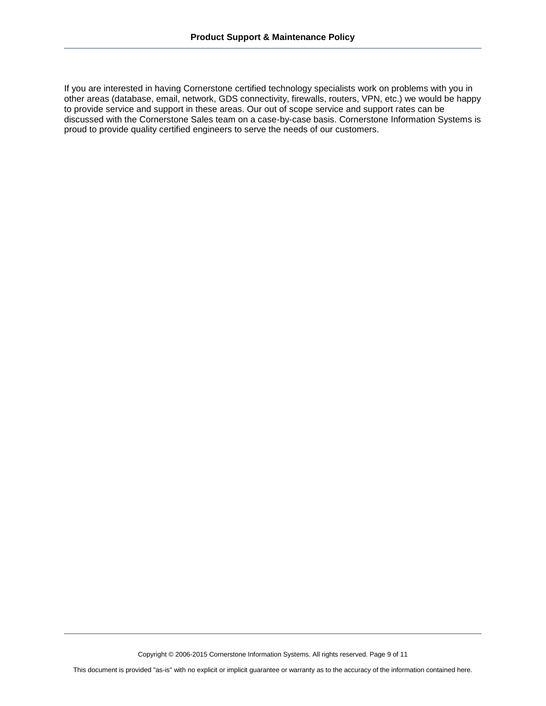If you are interested in having Cornerstone certified technology specialists work on problems with you in other areas (database, email, network, GDS connectivity, firewalls, routers, VPN, etc.) we would be happy to provide service and support in these areas. Our out of scope service and support rates can be discussed with the Cornerstone Sales team on a case-by-case basis. Cornerstone Information Systems is proud to provide quality certified engineers to serve the needs of our customers.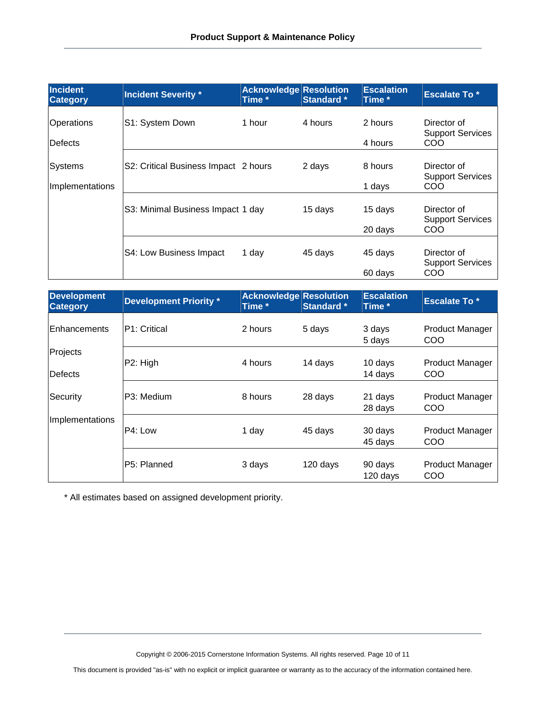| Incident<br><b>Category</b> | <b>Incident Severity *</b>           | <b>Acknowledge Resolution</b><br>Time * | <b>Standard</b> * | <b>Escalation</b><br>Time * | <b>Escalate To *</b>                   |
|-----------------------------|--------------------------------------|-----------------------------------------|-------------------|-----------------------------|----------------------------------------|
| Operations                  | S1: System Down                      | 1 hour                                  | 4 hours           | 2 hours                     | Director of<br><b>Support Services</b> |
| Defects                     |                                      |                                         |                   | 4 hours                     | <b>COO</b>                             |
| Systems                     | S2: Critical Business Impact 2 hours |                                         | 2 days            | 8 hours                     | Director of<br><b>Support Services</b> |
| Implementations             |                                      |                                         |                   | 1 days                      | COO                                    |
|                             | S3: Minimal Business Impact 1 day    |                                         | 15 days           | 15 days                     | Director of<br><b>Support Services</b> |
|                             |                                      |                                         |                   | 20 days                     | <b>COO</b>                             |
|                             | S4: Low Business Impact              | 1 day                                   | 45 days           | 45 days                     | Director of<br><b>Support Services</b> |
|                             |                                      |                                         |                   | 60 days                     | COO                                    |

| <b>Development</b><br><b>Category</b> | <b>Development Priority *</b> | <b>Acknowledge Resolution</b><br>Time * | <b>Standard</b> * | <b>Escalation</b><br>Time * | <b>Escalate To*</b>           |
|---------------------------------------|-------------------------------|-----------------------------------------|-------------------|-----------------------------|-------------------------------|
| lEnhancements                         | P1: Critical                  | 2 hours                                 | 5 days            | 3 days<br>5 days            | <b>Product Manager</b><br>COO |
| Projects<br>Defects                   | P2: High                      | 4 hours                                 | 14 days           | 10 days<br>14 days          | <b>Product Manager</b><br>COO |
| Security                              | P3: Medium                    | 8 hours                                 | 28 days           | 21 days<br>28 days          | <b>Product Manager</b><br>COO |
| Implementations                       | P4: Low                       | 1 day                                   | 45 days           | 30 days<br>45 days          | <b>Product Manager</b><br>COO |
|                                       | P5: Planned                   | 3 days                                  | 120 days          | 90 days<br>120 days         | <b>Product Manager</b><br>COO |

\* All estimates based on assigned development priority.

Copyright © 2006-2015 Cornerstone Information Systems. All rights reserved. Page 10 of 11

This document is provided "as-is" with no explicit or implicit guarantee or warranty as to the accuracy of the information contained here.